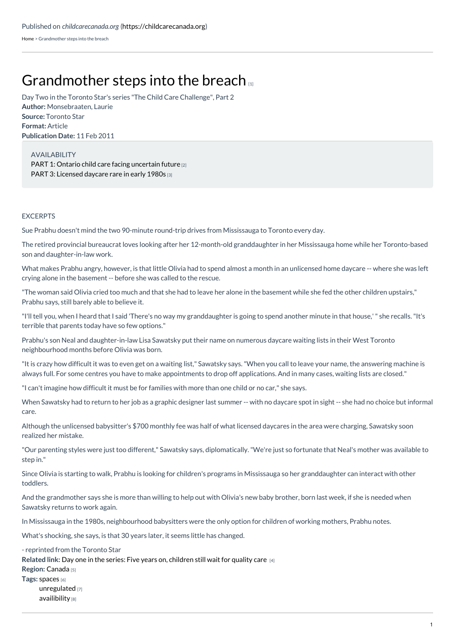[Home](https://childcarecanada.org/) > Grandmother steps into the breach

## [Grandmother](https://childcarecanada.org/documents/child-care-news/11/02/grandmother-steps-breach) steps into the breach

**Author:** Monsebraaten, Laurie **Source:** Toronto Star **Format:** Article **Publication Date:** 11 Feb 2011 Day Two in the Toronto Star's series "The Child Care Challenge", Part 2

AVAILABILITY PART 1: Ontario child care facing [uncertain](https://childcarecanada.org/documents/child-care-news/11/02/ontario-child-care-facing-uncertain-future) future [2] PART 3: [Licensed](https://childcarecanada.org/documents/child-care-news/11/02/licensed-daycare-rare-early-1980s) daycare rare in early 1980s [3]

## **EXCERPTS**

Sue Prabhu doesn't mind the two 90-minute round-trip drives from Mississauga to Toronto every day.

The retired provincial bureaucrat loves looking after her 12-month-old granddaughter in her Mississauga home while her Toronto-based son and daughter-in-law work.

What makes Prabhu angry, however, is that little Olivia had to spend almost a month in an unlicensed home daycare -- where she was left crying alone in the basement -- before she was called to the rescue.

"The woman said Olivia cried too much and that she had to leave her alone in the basement while she fed the other children upstairs," Prabhu says, still barely able to believe it.

"I'll tell you, when I heard that I said 'There's no way my granddaughter is going to spend another minute in that house,'" she recalls."It's terrible that parents today have so few options."

Prabhu's son Neal and daughter-in-law Lisa Sawatsky put their name on numerous daycare waiting lists in their West Toronto neighbourhood months before Olivia was born.

"It is crazy how difficult it was to even get on a waiting list," Sawatsky says."When you call to leave your name, the answering machine is always full. For some centres you have to make appointments to drop off applications. And in many cases, waiting lists are closed."

"I can't imagine how difficult it must be for families with more than one child or no car," she says.

When Sawatsky had to return to her job as a graphic designer last summer -- with no daycare spot in sight -- she had no choice but informal care.

Although the unlicensed babysitter's \$700 monthly fee was half of what licensed daycares in the area were charging, Sawatsky soon realized her mistake.

"Our parenting styles were just too different," Sawatsky says, diplomatically."We're just so fortunate that Neal's mother was available to step in."

Since Olivia is starting to walk, Prabhu is looking for children's programs in Mississauga so her granddaughter can interact with other toddlers.

And the grandmother says she is more than willing to help out with Olivia's new baby brother, born last week, if she is needed when Sawatsky returns to work again.

In Mississauga in the 1980s, neighbourhood babysitters were the only option for children of working mothers, Prabhu notes.

What's shocking, she says, is that 30 years later, it seems little has changed.

**Related link:** Day one in the series: Five years on, [children](https://childcarecanada.org/documents/child-care-news/11/02/five-years-children-still-wait-quality-care-0) still wait for quality care [4] **Region:** [Canada](https://childcarecanada.org/taxonomy/term/7864) [5] **Tags:** [spaces](https://childcarecanada.org/category/tags/spaces) [6] [unregulated](https://childcarecanada.org/category/tags/unregulated) [7] [availibility](https://childcarecanada.org/category/tags/availibility) [8] - reprinted from the Toronto Star